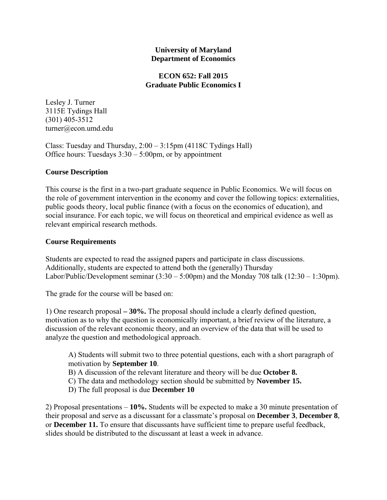### **University of Maryland Department of Economics**

### **ECON 652: Fall 2015 Graduate Public Economics I**

Lesley J. Turner 3115E Tydings Hall (301) 405-3512 turner@econ.umd.edu

Class: Tuesday and Thursday, 2:00 – 3:15pm (4118C Tydings Hall) Office hours: Tuesdays  $3:30 - 5:00$  pm, or by appointment

# **Course Description**

This course is the first in a two-part graduate sequence in Public Economics. We will focus on the role of government intervention in the economy and cover the following topics: externalities, public goods theory, local public finance (with a focus on the economics of education), and social insurance. For each topic, we will focus on theoretical and empirical evidence as well as relevant empirical research methods.

# **Course Requirements**

Students are expected to read the assigned papers and participate in class discussions. Additionally, students are expected to attend both the (generally) Thursday Labor/Public/Development seminar  $(3:30 - 5:00 \text{pm})$  and the Monday 708 talk  $(12:30 - 1:30 \text{pm})$ .

The grade for the course will be based on:

1) One research proposal **– 30%.** The proposal should include a clearly defined question, motivation as to why the question is economically important, a brief review of the literature, a discussion of the relevant economic theory, and an overview of the data that will be used to analyze the question and methodological approach.

A) Students will submit two to three potential questions, each with a short paragraph of motivation by **September 10**.

B) A discussion of the relevant literature and theory will be due **October 8.** 

C) The data and methodology section should be submitted by **November 15.**

D) The full proposal is due **December 10**

2) Proposal presentations – **10%.** Students will be expected to make a 30 minute presentation of their proposal and serve as a discussant for a classmate's proposal on **December 3**, **December 8**, or **December 11.** To ensure that discussants have sufficient time to prepare useful feedback, slides should be distributed to the discussant at least a week in advance.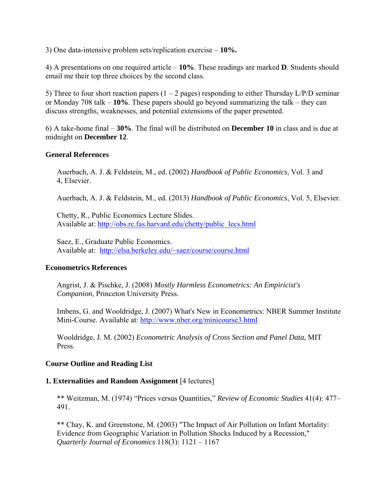3) One data-intensive problem sets/replication exercise – **10%.** 

4) A presentations on one required article – **10%**. These readings are marked **D**. Students should email me their top three choices by the second class.

5) Three to four short reaction papers  $(1 – 2$  pages) responding to either Thursday  $L/P/D$  seminar or Monday 708 talk – **10%**. These papers should go beyond summarizing the talk – they can discuss strengths, weaknesses, and potential extensions of the paper presented.

6) A take-home final – **30%**. The final will be distributed on **December 10** in class and is due at midnight on **December 12**.

#### **General References**

 Auerbach, A. J. & Feldstein, M., ed. (2002) *Handbook of Public Economics*, Vol. 3 and 4, Elsevier.

Auerbach, A. J. & Feldstein, M., ed. (2013) *Handbook of Public Economics*, Vol. 5, Elsevier.

 Chetty, R., Public Economics Lecture Slides. Available at: http://obs.rc.fas.harvard.edu/chetty/public\_lecs.html

 Saez, E., Graduate Public Economics. Available at: http://elsa.berkeley.edu/~saez/course/course.html

#### **Econometrics References**

 Angrist, J. & Pischke, J. (2008) *Mostly Harmless Econometrics: An Empiricist's Companion*, Princeton University Press.

Imbens, G. and Wooldridge, J. (2007) What's New in Econometrics: NBER Summer Institute Mini-Course. Available at: http://www.nber.org/minicourse3.html

Wooldridge, J. M. (2002) *Econometric Analysis of Cross Section and Panel Data*, MIT Press.

#### **Course Outline and Reading List**

#### **1. Externalities and Random Assignment** [4 lectures]

\*\* Weitzman, M. (1974) "Prices versus Quantities," *Review of Economic Studies* 41(4): 477– 491.

\*\* Chay, K. and Greenstone, M. (2003) "The Impact of Air Pollution on Infant Mortality: Evidence from Geographic Variation in Pollution Shocks Induced by a Recession," *Quarterly Journal of Economics* 118(3): 1121 – 1167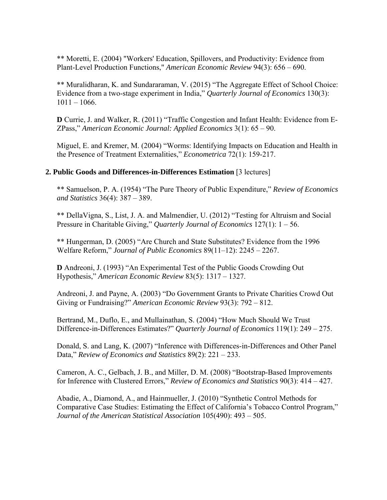\*\* Moretti, E. (2004) "Workers' Education, Spillovers, and Productivity: Evidence from Plant-Level Production Functions," *American Economic Review* 94(3): 656 – 690.

\*\* Muralidharan, K. and Sundararaman, V. (2015) "The Aggregate Effect of School Choice: Evidence from a two-stage experiment in India," *Quarterly Journal of Economics* 130(3):  $1011 - 1066$ .

**D** Currie, J. and Walker, R. (2011) "Traffic Congestion and Infant Health: Evidence from E-ZPass," *American Economic Journal: Applied Economics* 3(1): 65 – 90.

Miguel, E. and Kremer, M. (2004) "Worms: Identifying Impacts on Education and Health in the Presence of Treatment Externalities," *Econometrica* 72(1): 159-217.

#### **2. Public Goods and Differences-in-Differences Estimation** [3 lectures]

\*\* Samuelson, P. A. (1954) "The Pure Theory of Public Expenditure," *Review of Economics and Statistics* 36(4): 387 – 389.

\*\* DellaVigna, S., List, J. A. and Malmendier, U. (2012) "Testing for Altruism and Social Pressure in Charitable Giving," *Quarterly Journal of Economics* 127(1): 1 – 56.

\*\* Hungerman, D. (2005) "Are Church and State Substitutes? Evidence from the 1996 Welfare Reform," *Journal of Public Economics* 89(11–12): 2245 – 2267.

**D** Andreoni, J. (1993) "An Experimental Test of the Public Goods Crowding Out Hypothesis," *American Economic Review* 83(5): 1317 – 1327.

Andreoni, J. and Payne, A. (2003) "Do Government Grants to Private Charities Crowd Out Giving or Fundraising?" *American Economic Review* 93(3): 792 – 812.

Bertrand, M., Duflo, E., and Mullainathan, S. (2004) "How Much Should We Trust Difference-in-Differences Estimates?" *Quarterly Journal of Economics* 119(1): 249 – 275.

Donald, S. and Lang, K. (2007) "Inference with Differences-in- Differences and Other Panel Data," *Review of Economics and Statistics* 89(2): 221 – 233.

 Cameron, A. C., Gelbach, J. B., and Miller, D. M. (2008) "Bootstrap-Based Improvements for Inference with Clustered Errors," *Review of Economics and Statistics* 90(3): 414 – 427.

 Abadie, A., Diamond, A., and Hainmueller, J. (2010) "Synthetic Control Methods for Comparative Case Studies: Estimating the Effect of California's Tobacco Control Program," *Journal of the American Statistical Association* 105(490): 493 – 505.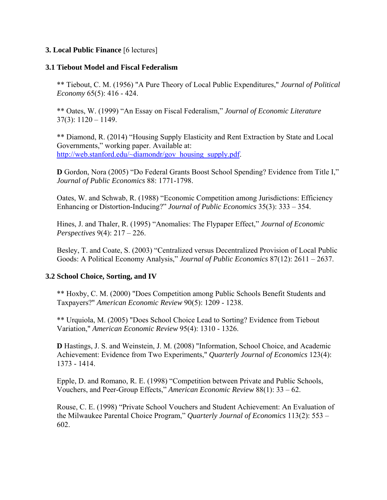### **3. Local Public Finance** [6 lectures]

#### **3.1 Tiebout Model and Fiscal Federalism**

\*\* Tiebout, C. M. (1956) "A Pure Theory of Local Public Expenditures," *Journal of Political Economy* 65(5): 416 - 424.

\*\* Oates, W. (1999) "An Essay on Fiscal Federalism," *Journal of Economic Literature*  $37(3): 1120 - 1149.$ 

\*\* Diamond, R. (2014) "Housing Supply Elasticity and Rent Extraction by State and Local Governments," working paper. Available at: http://web.stanford.edu/~diamondr/gov\_housing\_supply.pdf.

**D** Gordon, Nora (2005) "Do Federal Grants Boost School Spending? Evidence from Title I," *Journal of Public Economics* 88: 1771-1798.

Oates, W. and Schwab, R. (1988) "Economic Competition among Jurisdictions: Efficiency Enhancing or Distortion-Inducing?" *Journal of Public Economics* 35(3): 333 – 354.

Hines, J. and Thaler, R. (1995) "Anomalies: The Flypaper Effect," *Journal of Economic Perspectives* 9(4): 217 – 226.

Besley, T. and Coate, S. (2003) "Centralized versus Decentralized Provision of Local Public Goods: A Political Economy Analysis," *Journal of Public Economics* 87(12): 2611 – 2637.

## **3.2 School Choice, Sorting, and IV**

 \*\* Hoxby, C. M. (2000) "Does Competition among Public Schools Benefit Students and Taxpayers?" *American Economic Review* 90(5): 1209 - 1238.

 \*\* Urquiola, M. (2005) "Does School Choice Lead to Sorting? Evidence from Tiebout Variation," *American Economic Review* 95(4): 1310 - 1326.

**D** Hastings, J. S. and Weinstein, J. M. (2008) "Information, School Choice, and Academic Achievement: Evidence from Two Experiments," *Quarterly Journal of Economics* 123(4): 1373 - 1414.

Epple, D. and Romano, R. E. (1998) "Competition between Private and Public Schools, Vouchers, and Peer-Group Effects," *American Economic Review* 88(1): 33 – 62.

Rouse, C. E. (1998) "Private School Vouchers and Student Achievement: An Evaluation of the Milwaukee Parental Choice Program," *Quarterly Journal of Economics* 113(2): 553 – 602.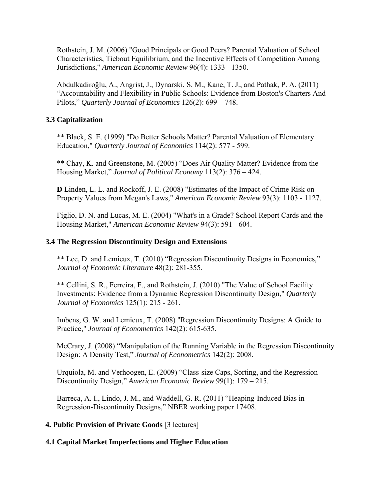Rothstein, J. M. (2006) "Good Principals or Good Peers? Parental Valuation of School Characteristics, Tiebout Equilibrium, and the Incentive Effects of Competition Among Jurisdictions," *American Economic Review* 96(4): 1333 - 1350.

 Abdulkadiroğlu, A., Angrist, J., Dynarski, S. M., Kane, T. J., and Pathak, P. A. (2011) "Accountability and Flexibility in Public Schools: Evidence from Boston's Charters And Pilots," *Quarterly Journal of Economics* 126(2): 699 – 748.

### **3.3 Capitalization**

\*\* Black, S. E. (1999) "Do Better Schools Matter? Parental Valuation of Elementary Education," *Quarterly Journal of Economics* 114(2): 577 - 599.

\*\* Chay, K. and Greenstone, M. (2005) "Does Air Quality Matter? Evidence from the Housing Market," *Journal of Political Economy* 113(2): 376 – 424.

**D** Linden, L. L. and Rockoff, J. E. (2008) "Estimates of the Impact of Crime Risk on Property Values from Megan's Laws," *American Economic Review* 93(3): 1103 - 1127.

Figlio, D. N. and Lucas, M. E. (2004) "What's in a Grade? School Report Cards and the Housing Market," *American Economic Review* 94(3): 591 - 604.

### **3.4 The Regression Discontinuity Design and Extensions**

\*\* Lee, D. and Lemieux, T. (2010) "Regression Discontinuity Designs in Economics," *Journal of Economic Literature* 48(2): 281-355.

\*\* Cellini, S. R., Ferreira, F., and Rothstein, J. (2010) "The Value of School Facility Investments: Evidence from a Dynamic Regression Discontinuity Design," *Quarterly Journal of Economics* 125(1): 215 - 261.

Imbens, G. W. and Lemieux, T. (2008) "Regression Discontinuity Designs: A Guide to Practice," *Journal of Econometrics* 142(2): 615-635.

McCrary, J. (2008) "Manipulation of the Running Variable in the Regression Discontinuity Design: A Density Test," *Journal of Econometrics* 142(2): 2008.

Urquiola, M. and Verhoogen, E. (2009) "Class-size Caps, Sorting, and the Regression-Discontinuity Design," *American Economic Review* 99(1): 179 – 215.

Barreca, A. I., Lindo, J. M., and Waddell, G. R. (2011) "Heaping-Induced Bias in Regression-Discontinuity Designs," NBER working paper 17408.

#### **4. Public Provision of Private Goods** [3 lectures]

## **4.1 Capital Market Imperfections and Higher Education**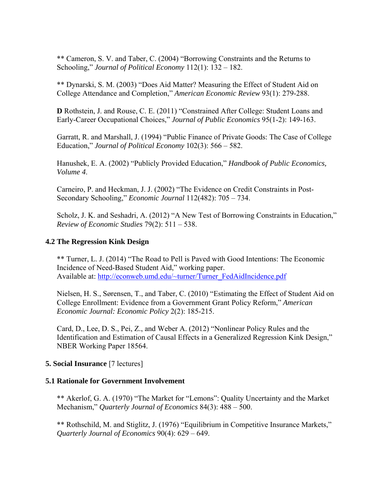\*\* Cameron, S. V. and Taber, C. (2004) "Borrowing Constraints and the Returns to Schooling," *Journal of Political Economy* 112(1): 132 – 182.

\*\* Dynarski, S. M. (2003) "Does Aid Matter? Measuring the Effect of Student Aid on College Attendance and Completion," *American Economic Review* 93(1): 279-288.

**D** Rothstein, J. and Rouse, C. E. (2011) "Constrained After College: Student Loans and Early-Career Occupational Choices," *Journal of Public Economics* 95(1-2): 149-163.

Garratt, R. and Marshall, J. (1994) "Public Finance of Private Goods: The Case of College Education," *Journal of Political Economy* 102(3): 566 – 582.

Hanushek, E. A. (2002) "Publicly Provided Education," *Handbook of Public Economics, Volume 4*.

Carneiro, P. and Heckman, J. J. (2002) "The Evidence on Credit Constraints in Post-Secondary Schooling," *Economic Journal* 112(482): 705 – 734.

Scholz, J. K. and Seshadri, A. (2012) "A New Test of Borrowing Constraints in Education," *Review of Economic Studies* 79(2): 511 – 538.

# **4.2 The Regression Kink Design**

\*\* Turner, L. J. (2014) "The Road to Pell is Paved with Good Intentions: The Economic Incidence of Need-Based Student Aid," working paper. Available at: http://econweb.umd.edu/~turner/Turner\_FedAidIncidence.pdf

Nielsen, H. S., Sørensen, T., and Taber, C. (2010) "Estimating the Effect of Student Aid on College Enrollment: Evidence from a Government Grant Policy Reform," *American Economic Journal: Economic Policy* 2(2): 185-215.

Card, D., Lee, D. S., Pei, Z., and Weber A. (2012) "Nonlinear Policy Rules and the Identification and Estimation of Causal Effects in a Generalized Regression Kink Design," NBER Working Paper 18564.

# **5. Social Insurance** [7 lectures]

## **5.1 Rationale for Government Involvement**

\*\* Akerlof, G. A. (1970) "The Market for "Lemons": Quality Uncertainty and the Market Mechanism," *Quarterly Journal of Economics* 84(3): 488 – 500.

\*\* Rothschild, M. and Stiglitz, J. (1976) "Equilibrium in Competitive Insurance Markets," *Quarterly Journal of Economics* 90(4): 629 – 649.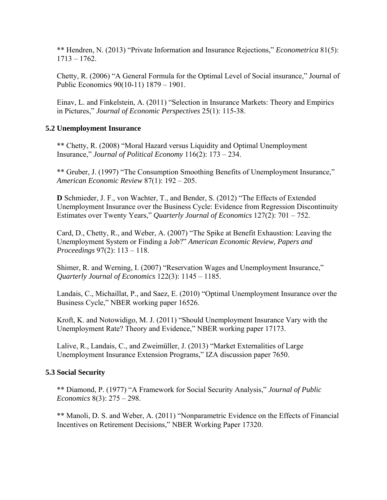\*\* Hendren, N. (2013) "Private Information and Insurance Rejections," *Econometrica* 81(5):  $1713 - 1762$ .

Chetty, R. (2006) "A General Formula for the Optimal Level of Social insurance," Journal of Public Economics 90(10-11) 1879 – 1901.

Einav, L. and Finkelstein, A. (2011) "Selection in Insurance Markets: Theory and Empirics in Pictures," *Journal of Economic Perspectives* 25(1): 115-38.

## **5.2 Unemployment Insurance**

\*\* Chetty, R. (2008) "Moral Hazard versus Liquidity and Optimal Unemployment Insurance," *Journal of Political Economy* 116(2): 173 – 234.

\*\* Gruber, J. (1997) "The Consumption Smoothing Benefits of Unemployment Insurance," *American Economic Review* 87(1): 192 – 205.

**D** Schmieder, J. F., von Wachter, T., and Bender, S. (2012) "The Effects of Extended Unemployment Insurance over the Business Cycle: Evidence from Regression Discontinuity Estimates over Twenty Years," *Quarterly Journal of Economics* 127(2): 701 – 752.

Card, D., Chetty, R., and Weber, A. (2007) "The Spike at Benefit Exhaustion: Leaving the Unemployment System or Finding a Job?" *American Economic Review, Papers and Proceedings* 97(2): 113 – 118.

Shimer, R. and Werning, I. (2007) "Reservation Wages and Unemployment Insurance," *Quarterly Journal of Economics* 122(3): 1145 – 1185.

Landais, C., Michaillat, P., and Saez, E. (2010) "Optimal Unemployment Insurance over the Business Cycle," NBER working paper 16526.

Kroft, K. and Notowidigo, M. J. (2011) "Should Unemployment Insurance Vary with the Unemployment Rate? Theory and Evidence," NBER working paper 17173.

Lalive, R., Landais, C., and Zweimüller, J. (2013) "Market Externalities of Large Unemployment Insurance Extension Programs," IZA discussion paper 7650.

## **5.3 Social Security**

\*\* Diamond, P. (1977) "A Framework for Social Security Analysis," *Journal of Public Economics* 8(3): 275 – 298.

\*\* Manoli, D. S. and Weber, A. (2011) "Nonparametric Evidence on the Effects of Financial Incentives on Retirement Decisions," NBER Working Paper 17320.